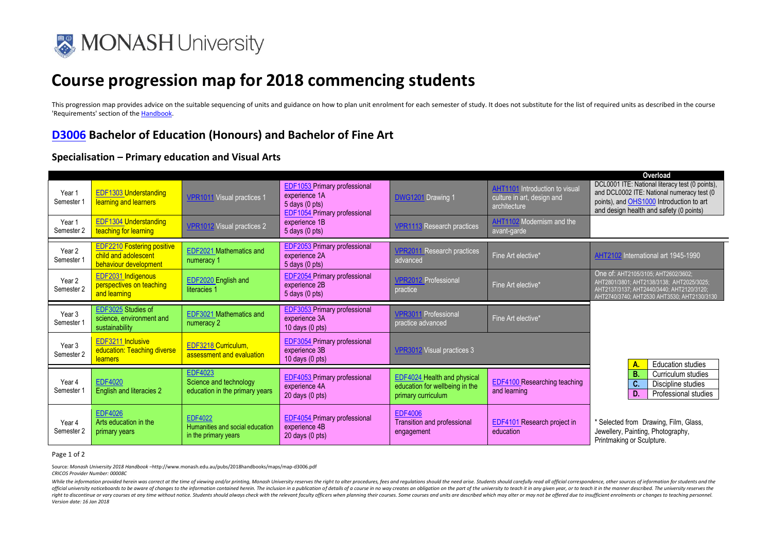

# **Course progression map for 2018 commencing students**

This progression map provides advice on the suitable sequencing of units and guidance on how to plan unit enrolment for each semester of study. It does not substitute for the list of required units as described in the cour 'Requirements' section of th[e Handbook.](http://www.monash.edu.au/pubs/2018handbooks/courses/D3005.html) 

## **[D3006](http://www.monash.edu.au/pubs/2018handbooks/courses/D3006.html) Bachelor of Education (Honours) and Bachelor of Fine Art**

### **Specialisation – Primary education and Visual Arts**

| Year 1<br>Semester 1            | <b>EDF1303 Understanding</b><br>learning and learners                              | VPR1011 Visual practices 1                                                 | <b>EDF1053 Primary professional</b><br>experience 1A<br>$5$ days $(0$ pts)<br><b>EDF1054 Primary professional</b> | <b>DWG1201</b> Drawing 1                                                                   | <b>AHT1101</b> Introduction to visual<br>culture in art, design and<br>architecture | Overload<br>DCL0001 ITE: National literacy test (0 points),<br>and DCL0002 ITE: National numeracy test (0<br>points), and OHS1000 Introduction to art<br>and design health and safety (0 points) |
|---------------------------------|------------------------------------------------------------------------------------|----------------------------------------------------------------------------|-------------------------------------------------------------------------------------------------------------------|--------------------------------------------------------------------------------------------|-------------------------------------------------------------------------------------|--------------------------------------------------------------------------------------------------------------------------------------------------------------------------------------------------|
| Year 1<br>Semester 2            | <b>EDF1304 Understanding</b><br>teaching for learning                              | <b>VPR1012 Visual practices 2</b>                                          | experience 1B<br>$5$ days $(0$ pts)                                                                               | /PR1113 Research practices                                                                 | AHT1102 Modernism and the<br>avant-garde                                            |                                                                                                                                                                                                  |
| Year 2<br>Semester 1            | <b>EDF2210 Fostering positive</b><br>child and adolescent<br>behaviour development | EDF2021 Mathematics and<br>numeracy 1                                      | <b>EDF2053</b> Primary professional<br>experience 2A<br>5 days (0 pts)                                            | <b>VPR2011 Research practices</b><br>advanced                                              | Fine Art elective*                                                                  | AHT2102 International art 1945-1990                                                                                                                                                              |
| Year <sub>2</sub><br>Semester 2 | EDF2031 Indigenous<br>perspectives on teaching<br>and learning                     | EDF2020 English and<br>literacies 1                                        | <b>EDF2054</b> Primary professional<br>experience 2B<br>$5$ days $(0$ pts)                                        | <b>VPR2012 Professional</b><br>practice                                                    | Fine Art elective*                                                                  | One of: AHT2105/3105; AHT2602/3602;<br>AHT2801/3801; AHT2138/3138; AHT2025/3025;<br>AHT2137/3137: AHT2440/3440: AHT2120/3120:<br>AHT2740/3740; AHT2530 AHT3530; AHT2130/3130                     |
| Year 3<br>Semester 1            | EDF3025 Studies of<br>science, environment and<br>sustainability                   | EDF3021 Mathematics and<br>numeracy 2                                      | <b>EDF3053</b> Primary professional<br>experience 3A<br>10 days $(0 \text{ pts})$                                 | <b>VPR3011 Professional</b><br>practice advanced                                           | Fine Art elective*                                                                  |                                                                                                                                                                                                  |
| Year 3<br>Semester 2            | EDF3211 Inclusive<br>education: Teaching diverse<br>learners                       | EDF3218 Curriculum,<br>assessment and evaluation                           | <b>EDF3054</b> Primary professional<br>experience 3B<br>10 days $(0 \text{ pts})$                                 | <b>VPR3012</b> Visual practices 3                                                          |                                                                                     | <b>Education studies</b><br>A.                                                                                                                                                                   |
| Year 4<br>Semester 1            | <b>EDF4020</b><br>English and literacies 2                                         | <b>EDF4023</b><br>Science and technology<br>education in the primary years | <b>EDF4053</b> Primary professional<br>experience 4A<br>$20$ days $(0$ pts)                                       | <b>EDF4024 Health and physical</b><br>education for wellbeing in the<br>primary curriculum | EDF4100 Researching teaching<br>and learning                                        | <b>B.</b><br>Curriculum studies<br>C.<br>Discipline studies<br>D.<br>Professional studies                                                                                                        |
| Year 4<br>Semester 2            | <b>EDF4026</b><br>Arts education in the<br>primary years                           | <b>EDF4022</b><br>Humanities and social education<br>in the primary years  | <b>EDF4054</b> Primary professional<br>experience 4B<br>$20$ days $(0$ pts)                                       | <b>EDF4006</b><br>Transition and professional<br>engagement                                | <b>EDF4101</b> Research project in<br>education                                     | * Selected from Drawing, Film, Glass,<br>Jewellery, Painting, Photography,<br>Printmaking or Sculpture.                                                                                          |

Page 1 of 2

Source: *Monash University 2018 Handbook –*http://www.monash.edu.au/pubs/2018handbooks/maps/map-d3006.pdf *CRICOS Provider Number: 00008C*

While the information provided herein was correct at the time of viewing and/or printing, Monash University reserves the right to alter procedures, fees and regulations should the need arise. Students should carefully read official university noticeboards to be aware of changes to the information contained herein. The inclusion in a publication of details of a course in no way creates an obligation on the part of the university to teach it i right to discontinue or vary courses at any time without notice. Students should always check with the relevant faculty officers when planning their courses. Some courses and units are described which may alter or may not *Version date: 16 Jan 2018*